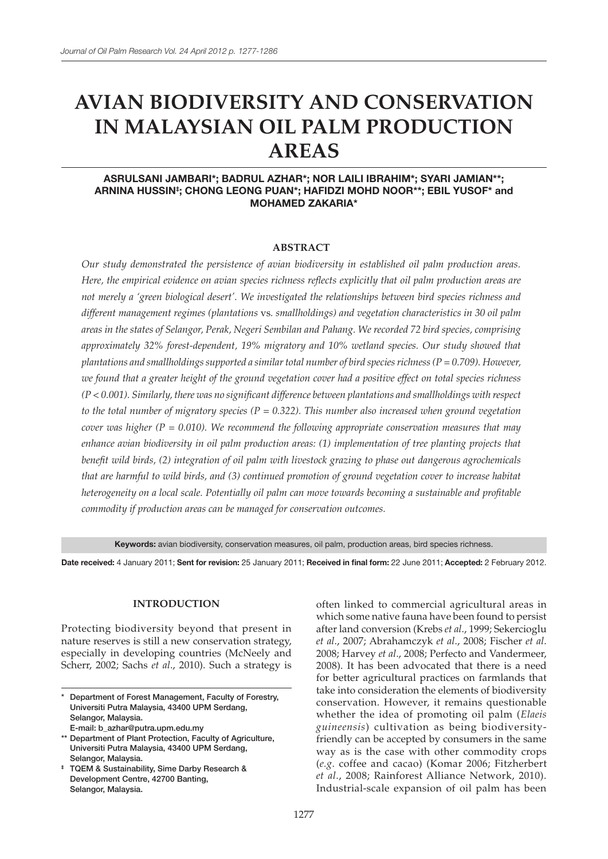# **AVIAN BIODIVERSITY AND CONSERVATION IN MALAYSIAN OIL PALM PRODUCTION AREAS**

# ASRULSANI JAMBARI\*; BADRUL AZHAR\*; NOR LAILI IBRAHIM\*; SYARI JAMIAN\*\*; ARNINA HUSSIN‡ ; CHONG LEONG PUAN\*; HAFIDZI MOHD NOOR\*\*; EBIL YUSOF\* and MOHAMED ZAKARIA\*

#### **ABSTRACT**

*Our study demonstrated the persistence of avian biodiversity in established oil palm production areas. Here, the empirical evidence on avian species richness reflects explicitly that oil palm production areas are not merely a 'green biological desert'. We investigated the relationships between bird species richness and different management regimes (plantations* vs*. smallholdings) and vegetation characteristics in 30 oil palm areas in the states of Selangor, Perak, Negeri Sembilan and Pahang. We recorded 72 bird species, comprising approximately 32% forest-dependent, 19% migratory and 10% wetland species. Our study showed that plantations and smallholdings supported a similar total number of bird species richness (P = 0.709). However, we found that a greater height of the ground vegetation cover had a positive effect on total species richness (P < 0.001). Similarly, there was no significant difference between plantations and smallholdings with respect to the total number of migratory species (P = 0.322). This number also increased when ground vegetation cover was higher (P = 0.010). We recommend the following appropriate conservation measures that may enhance avian biodiversity in oil palm production areas: (1) implementation of tree planting projects that benefit wild birds, (2) integration of oil palm with livestock grazing to phase out dangerous agrochemicals that are harmful to wild birds, and (3) continued promotion of ground vegetation cover to increase habitat heterogeneity on a local scale. Potentially oil palm can move towards becoming a sustainable and profitable commodity if production areas can be managed for conservation outcomes.*

Keywords: avian biodiversity, conservation measures, oil palm, production areas, bird species richness.

Date received: 4 January 2011; Sent for revision: 25 January 2011; Received in final form: 22 June 2011; Accepted: 2 February 2012.

#### **INTRODUCTION**

Protecting biodiversity beyond that present in nature reserves is still a new conservation strategy, especially in developing countries (McNeely and Scherr, 2002; Sachs *et al*., 2010). Such a strategy is often linked to commercial agricultural areas in which some native fauna have been found to persist after land conversion (Krebs *et al*., 1999; Sekercioglu *et al*., 2007; Abrahamczyk *et al*., 2008; Fischer *et al*. 2008; Harvey *et al*., 2008; Perfecto and Vandermeer, 2008). It has been advocated that there is a need for better agricultural practices on farmlands that take into consideration the elements of biodiversity conservation. However, it remains questionable whether the idea of promoting oil palm (*Elaeis guineensis*) cultivation as being biodiversityfriendly can be accepted by consumers in the same way as is the case with other commodity crops (*e.g*. coffee and cacao) (Komar 2006; Fitzherbert *et al*., 2008; Rainforest Alliance Network, 2010). Industrial-scale expansion of oil palm has been

Department of Forest Management, Faculty of Forestry, Universiti Putra Malaysia, 43400 UPM Serdang, Selangor, Malaysia. E-mail: b\_azhar@putra.upm.edu.my

<sup>\*\*</sup> Department of Plant Protection, Faculty of Agriculture, Universiti Putra Malaysia, 43400 UPM Serdang, Selangor, Malaysia.

<sup>‡</sup> TQEM & Sustainability, Sime Darby Research & Development Centre, 42700 Banting, Selangor, Malaysia.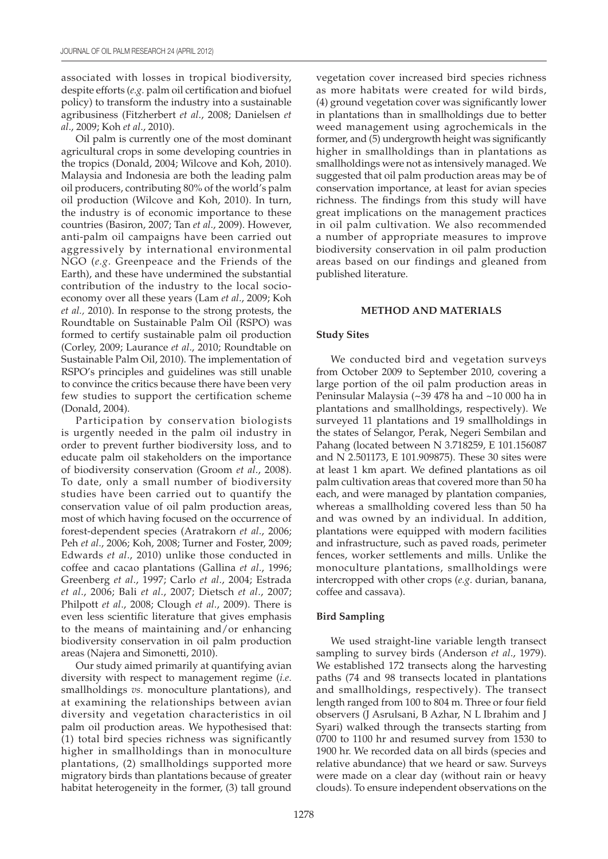associated with losses in tropical biodiversity, despite efforts (*e.g.* palm oil certification and biofuel policy) to transform the industry into a sustainable agribusiness (Fitzherbert *et al*., 2008; Danielsen *et al*., 2009; Koh *et al*., 2010).

Oil palm is currently one of the most dominant agricultural crops in some developing countries in the tropics (Donald, 2004; Wilcove and Koh, 2010). Malaysia and Indonesia are both the leading palm oil producers, contributing 80% of the world's palm oil production (Wilcove and Koh, 2010). In turn, the industry is of economic importance to these countries (Basiron, 2007; Tan *et al*., 2009). However, anti-palm oil campaigns have been carried out aggressively by international environmental NGO (*e.g*. Greenpeace and the Friends of the Earth), and these have undermined the substantial contribution of the industry to the local socioeconomy over all these years (Lam *et al*., 2009; Koh *et al.,* 2010). In response to the strong protests, the Roundtable on Sustainable Palm Oil (RSPO) was formed to certify sustainable palm oil production (Corley, 2009; Laurance *et al*., 2010; Roundtable on Sustainable Palm Oil, 2010). The implementation of RSPO's principles and guidelines was still unable to convince the critics because there have been very few studies to support the certification scheme (Donald, 2004).

Participation by conservation biologists is urgently needed in the palm oil industry in order to prevent further biodiversity loss, and to educate palm oil stakeholders on the importance of biodiversity conservation (Groom *et al*., 2008). To date, only a small number of biodiversity studies have been carried out to quantify the conservation value of oil palm production areas, most of which having focused on the occurrence of forest-dependent species (Aratrakorn *et al*., 2006; Peh *et al*., 2006; Koh, 2008; Turner and Foster, 2009; Edwards *et al*., 2010) unlike those conducted in coffee and cacao plantations (Gallina *et al*., 1996; Greenberg *et al*., 1997; Carlo *et al*., 2004; Estrada *et al*., 2006; Bali *et al*., 2007; Dietsch *et al*., 2007; Philpott *et al*., 2008; Clough *et al*., 2009). There is even less scientific literature that gives emphasis to the means of maintaining and/or enhancing biodiversity conservation in oil palm production areas (Najera and Simonetti, 2010).

Our study aimed primarily at quantifying avian diversity with respect to management regime (*i.e*. smallholdings *vs.* monoculture plantations), and at examining the relationships between avian diversity and vegetation characteristics in oil palm oil production areas. We hypothesised that: (1) total bird species richness was significantly higher in smallholdings than in monoculture plantations, (2) smallholdings supported more migratory birds than plantations because of greater habitat heterogeneity in the former, (3) tall ground vegetation cover increased bird species richness as more habitats were created for wild birds, (4) ground vegetation cover was significantly lower in plantations than in smallholdings due to better weed management using agrochemicals in the former, and (5) undergrowth height was significantly higher in smallholdings than in plantations as smallholdings were not as intensively managed. We suggested that oil palm production areas may be of conservation importance, at least for avian species richness. The findings from this study will have great implications on the management practices in oil palm cultivation. We also recommended a number of appropriate measures to improve biodiversity conservation in oil palm production areas based on our findings and gleaned from published literature.

#### **METHOD AND MATERIALS**

#### **Study Sites**

We conducted bird and vegetation surveys from October 2009 to September 2010, covering a large portion of the oil palm production areas in Peninsular Malaysia (~39 478 ha and ~10 000 ha in plantations and smallholdings, respectively). We surveyed 11 plantations and 19 smallholdings in the states of Selangor, Perak, Negeri Sembilan and Pahang (located between N 3.718259, E 101.156087 and N 2.501173, E 101.909875). These 30 sites were at least 1 km apart. We defined plantations as oil palm cultivation areas that covered more than 50 ha each, and were managed by plantation companies, whereas a smallholding covered less than 50 ha and was owned by an individual. In addition, plantations were equipped with modern facilities and infrastructure, such as paved roads, perimeter fences, worker settlements and mills. Unlike the monoculture plantations, smallholdings were intercropped with other crops (*e.g*. durian, banana, coffee and cassava).

# **Bird Sampling**

We used straight-line variable length transect sampling to survey birds (Anderson *et al*., 1979). We established 172 transects along the harvesting paths (74 and 98 transects located in plantations and smallholdings, respectively). The transect length ranged from 100 to 804 m. Three or four field observers (J Asrulsani, B Azhar, N L Ibrahim and J Syari) walked through the transects starting from 0700 to 1100 hr and resumed survey from 1530 to 1900 hr. We recorded data on all birds (species and relative abundance) that we heard or saw. Surveys were made on a clear day (without rain or heavy clouds). To ensure independent observations on the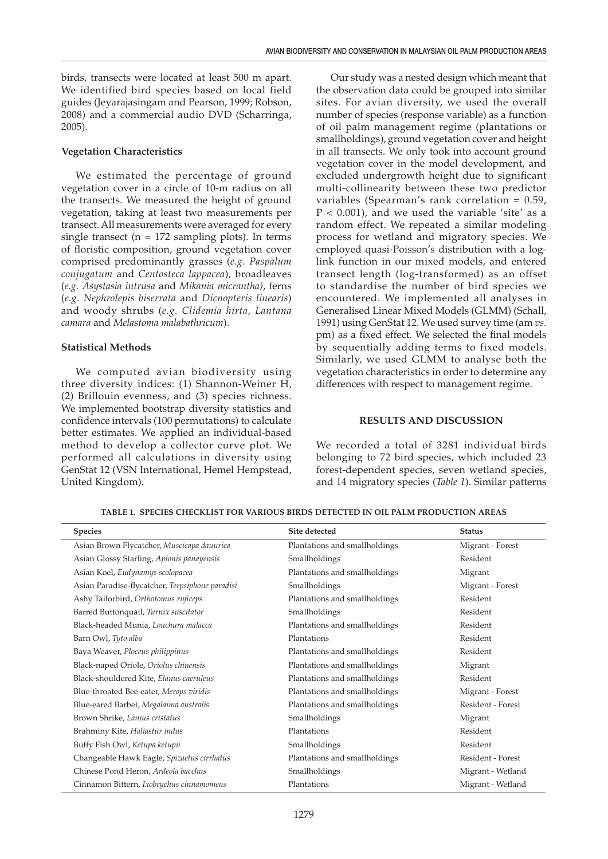birds, transects were located at least 500 m apart. We identified bird species based on local field guides (Jeyarajasingam and Pearson, 1999; Robson, 2008) and a commercial audio DVD (Scharringa, 2005).

#### **Vegetation Characteristics**

We estimated the percentage of ground vegetation cover in a circle of 10-m radius on all the transects. We measured the height of ground vegetation, taking at least two measurements per transect. All measurements were averaged for every single transect ( $n = 172$  sampling plots). In terms of floristic composition, ground vegetation cover comprised predominantly grasses (*e.g*. *Paspalum conjugatum* and *Centosteca lappacea*)*,* broadleaves (*e.g. Asystasia intrusa* and *Mikania micrantha)*, ferns (*e.g. Nephrolepis biserrata* and *Dicnopteris linearis*) and woody shrubs (*e.g. Clidemia hirta, Lantana camara* and *Melastoma malabathricum*).

# **Statistical Methods**

We computed avian biodiversity using three diversity indices: (1) Shannon-Weiner H, (2) Brillouin evenness, and (3) species richness. We implemented bootstrap diversity statistics and confidence intervals (100 permutations) to calculate better estimates. We applied an individual-based method to develop a collector curve plot. We performed all calculations in diversity using GenStat 12 (VSN International, Hemel Hempstead, United Kingdom).

Our study was a nested design which meant that the observation data could be grouped into similar sites. For avian diversity, we used the overall number of species (response variable) as a function of oil palm management regime (plantations or smallholdings), ground vegetation cover and height in all transects. We only took into account ground vegetation cover in the model development, and excluded undergrowth height due to significant multi-collinearity between these two predictor variables (Spearman's rank correlation = 0.59,  $P < 0.001$ ), and we used the variable 'site' as a random effect. We repeated a similar modeling process for wetland and migratory species. We employed quasi-Poisson's distribution with a loglink function in our mixed models, and entered transect length (log-transformed) as an offset to standardise the number of bird species we encountered. We implemented all analyses in Generalised Linear Mixed Models (GLMM) (Schall, 1991) using GenStat 12. We used survey time (am *vs*. pm) as a fixed effect. We selected the final models by sequentially adding terms to fixed models. Similarly, we used GLMM to analyse both the vegetation characteristics in order to determine any differences with respect to management regime.

# **RESULTS AND DISCUSSION**

We recorded a total of 3281 individual birds belonging to 72 bird species, which included 23 forest-dependent species, seven wetland species, and 14 migratory species (*Table 1*). Similar patterns

| <b>Species</b>                                  | Site detected                 | <b>Status</b>     |
|-------------------------------------------------|-------------------------------|-------------------|
| Asian Brown Flycatcher, Muscicapa dauurica      | Plantations and smallholdings | Migrant - Forest  |
| Asian Glossy Starling, Aplonis panayensis       | Smallholdings                 | Resident          |
| Asian Koel, Eudynamys scolopacea                | Plantations and smallholdings | Migrant           |
| Asian Paradise-flycatcher, Terpsiphone paradisi | Smallholdings                 | Migrant - Forest  |
| Ashy Tailorbird, Orthotomus ruficeps            | Plantations and smallholdings | Resident          |
| Barred Buttonquail, Turnix suscitator           | Smallholdings                 | Resident          |
| Black-headed Munia, Lonchura malacca            | Plantations and smallholdings | Resident          |
| Barn Owl, Tyto alba                             | Plantations                   | Resident          |
| Baya Weaver, Ploceus philippinus                | Plantations and smallholdings | Resident          |
| Black-naped Oriole, Oriolus chinensis           | Plantations and smallholdings | Migrant           |
| Black-shouldered Kite, Elanus caeruleus         | Plantations and smallholdings | Resident          |
| Blue-throated Bee-eater, Merops viridis         | Plantations and smallholdings | Migrant - Forest  |
| Blue-eared Barbet, Megalaima australis          | Plantations and smallholdings | Resident - Forest |
| Brown Shrike, Lanius cristatus                  | Smallholdings                 | Migrant           |
| Brahminy Kite, Haliastur indus                  | Plantations                   | Resident          |
| Buffy Fish Owl, Ketupa ketupu                   | Smallholdings                 | Resident          |
| Changeable Hawk Eagle, Spizaetus cirrhatus      | Plantations and smallholdings | Resident - Forest |
| Chinese Pond Heron, Ardeola bacchus             | Smallholdings                 | Migrant - Wetland |
| Cinnamon Bittern, Ixobrychus cinnamomeus        | Plantations                   | Migrant - Wetland |

**TABLE 1. SPECIES CHECKLIST FOR VARIOUS BIRDS DETECTED IN OIL PALM PRODUCTION AREAS**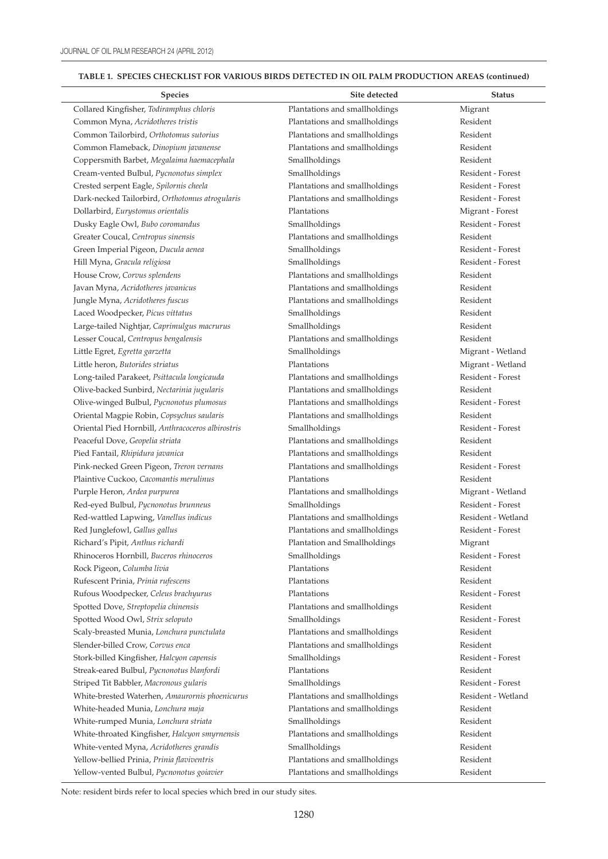$\overline{a}$ 

# **TABLE 1. SPECIES CHECKLIST FOR VARIOUS BIRDS DETECTED IN OIL PALM PRODUCTION AREAS (continued)**

| <b>Species</b>                                    | Site detected                 | <b>Status</b>      |
|---------------------------------------------------|-------------------------------|--------------------|
| Collared Kingfisher, Todiramphus chloris          | Plantations and smallholdings | Migrant            |
| Common Myna, Acridotheres tristis                 | Plantations and smallholdings | Resident           |
| Common Tailorbird, Orthotomus sutorius            | Plantations and smallholdings | Resident           |
| Common Flameback, Dinopium javanense              | Plantations and smallholdings | Resident           |
| Coppersmith Barbet, Megalaima haemacephala        | Smallholdings                 | Resident           |
| Cream-vented Bulbul, Pycnonotus simplex           | Smallholdings                 | Resident - Forest  |
| Crested serpent Eagle, Spilornis cheela           | Plantations and smallholdings | Resident - Forest  |
| Dark-necked Tailorbird, Orthotomus atrogularis    | Plantations and smallholdings | Resident - Forest  |
| Dollarbird, Eurystomus orientalis                 | Plantations                   | Migrant - Forest   |
| Dusky Eagle Owl, Bubo coromandus                  | Smallholdings                 | Resident - Forest  |
| Greater Coucal, Centropus sinensis                | Plantations and smallholdings | Resident           |
| Green Imperial Pigeon, Ducula aenea               | Smallholdings                 | Resident - Forest  |
| Hill Myna, Gracula religiosa                      | Smallholdings                 | Resident - Forest  |
| House Crow, Corvus splendens                      | Plantations and smallholdings | Resident           |
| Javan Myna, Acridotheres javanicus                | Plantations and smallholdings | Resident           |
| Jungle Myna, Acridotheres fuscus                  | Plantations and smallholdings | Resident           |
| Laced Woodpecker, Picus vittatus                  | Smallholdings                 | Resident           |
| Large-tailed Nightjar, Caprimulgus macrurus       | Smallholdings                 | Resident           |
| Lesser Coucal, Centropus bengalensis              | Plantations and smallholdings | Resident           |
| Little Egret, Egretta garzetta                    | Smallholdings                 | Migrant - Wetland  |
| Little heron, Butorides striatus                  | Plantations                   | Migrant - Wetland  |
| Long-tailed Parakeet, Psittacula longicauda       | Plantations and smallholdings | Resident - Forest  |
| Olive-backed Sunbird, Nectarinia jugularis        | Plantations and smallholdings | Resident           |
| Olive-winged Bulbul, Pycnonotus plumosus          | Plantations and smallholdings | Resident - Forest  |
| Oriental Magpie Robin, Copsychus saularis         | Plantations and smallholdings | Resident           |
| Oriental Pied Hornbill, Anthracoceros albirostris | Smallholdings                 | Resident - Forest  |
| Peaceful Dove, Geopelia striata                   | Plantations and smallholdings | Resident           |
| Pied Fantail, Rhipidura javanica                  | Plantations and smallholdings | Resident           |
| Pink-necked Green Pigeon, Treron vernans          | Plantations and smallholdings | Resident - Forest  |
| Plaintive Cuckoo, Cacomantis merulinus            | Plantations                   | Resident           |
| Purple Heron, Ardea purpurea                      | Plantations and smallholdings | Migrant - Wetland  |
| Red-eyed Bulbul, Pycnonotus brunneus              | Smallholdings                 | Resident - Forest  |
| Red-wattled Lapwing, Vanellus indicus             | Plantations and smallholdings | Resident - Wetland |
| Red Junglefowl, Gallus gallus                     | Plantations and smallholdings | Resident - Forest  |
| Richard's Pipit, Anthus richardi                  | Plantation and Smallholdings  | Migrant            |
| Rhinoceros Hornbill, Buceros rhinoceros           | Smallholdings                 | Resident - Forest  |
| Rock Pigeon, Columba livia                        | Plantations                   | Resident           |
| Rufescent Prinia, Prinia rufescens                | Plantations                   | Resident           |
| Rufous Woodpecker, Celeus brachyurus              | Plantations                   | Resident - Forest  |
| Spotted Dove, Streptopelia chinensis              | Plantations and smallholdings | Resident           |
| Spotted Wood Owl, Strix seloputo                  | Smallholdings                 | Resident - Forest  |
| Scaly-breasted Munia, Lonchura punctulata         | Plantations and smallholdings | Resident           |
| Slender-billed Crow, Corvus enca                  | Plantations and smallholdings | Resident           |
| Stork-billed Kingfisher, Halcyon capensis         | Smallholdings                 | Resident - Forest  |
| Streak-eared Bulbul, Pycnonotus blanfordi         | Plantations                   | Resident           |
| Striped Tit Babbler, Macronous gularis            | Smallholdings                 | Resident - Forest  |
| White-brested Waterhen, Amaurornis phoenicurus    | Plantations and smallholdings | Resident - Wetland |
| White-headed Munia, Lonchura maja                 | Plantations and smallholdings | Resident           |
| White-rumped Munia, Lonchura striata              | Smallholdings                 | Resident           |
| White-throated Kingfisher, Halcyon smyrnensis     | Plantations and smallholdings | Resident           |
| White-vented Myna, Acridotheres grandis           | Smallholdings                 | Resident           |
| Yellow-bellied Prinia, Prinia flaviventris        | Plantations and smallholdings | Resident           |
| Yellow-vented Bulbul, Pycnonotus goiavier         | Plantations and smallholdings | Resident           |

Note: resident birds refer to local species which bred in our study sites.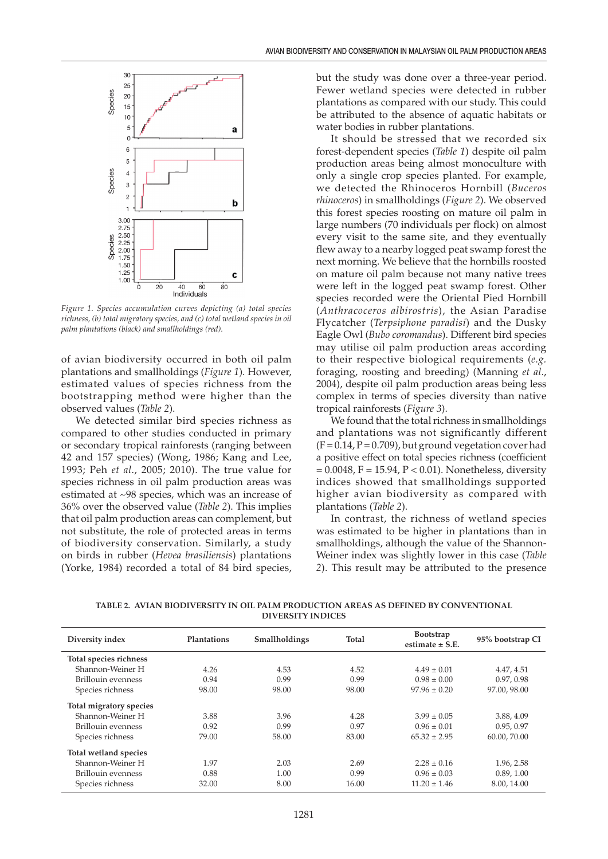

*Figure 1. Species accumulation curves depicting (a) total species richness, (b) total migratory species, and (c) total wetland species in oil palm plantations (black) and smallholdings (red).*

of avian biodiversity occurred in both oil palm plantations and smallholdings (*Figure 1*). However, estimated values of species richness from the bootstrapping method were higher than the observed values (*Table 2*).

We detected similar bird species richness as compared to other studies conducted in primary or secondary tropical rainforests (ranging between 42 and 157 species) (Wong, 1986; Kang and Lee, 1993; Peh *et al*., 2005; 2010). The true value for species richness in oil palm production areas was estimated at ~98 species, which was an increase of 36% over the observed value (*Table 2*). This implies that oil palm production areas can complement, but not substitute, the role of protected areas in terms of biodiversity conservation. Similarly, a study on birds in rubber (*Hevea brasiliensis*) plantations (Yorke, 1984) recorded a total of 84 bird species,

but the study was done over a three-year period. Fewer wetland species were detected in rubber plantations as compared with our study. This could be attributed to the absence of aquatic habitats or water bodies in rubber plantations.

It should be stressed that we recorded six forest-dependent species (*Table 1*) despite oil palm production areas being almost monoculture with only a single crop species planted. For example, we detected the Rhinoceros Hornbill (*Buceros rhinoceros*) in smallholdings (*Figure 2*). We observed this forest species roosting on mature oil palm in large numbers (70 individuals per flock) on almost every visit to the same site, and they eventually flew away to a nearby logged peat swamp forest the next morning. We believe that the hornbills roosted on mature oil palm because not many native trees were left in the logged peat swamp forest. Other species recorded were the Oriental Pied Hornbill (*Anthracoceros albirostris*), the Asian Paradise Flycatcher (*Terpsiphone paradisi*) and the Dusky Eagle Owl (*Bubo coromandus*). Different bird species may utilise oil palm production areas according to their respective biological requirements (*e.g.* foraging, roosting and breeding) (Manning *et al*., 2004), despite oil palm production areas being less complex in terms of species diversity than native tropical rainforests (*Figure 3*).

We found that the total richness in smallholdings and plantations was not significantly different  $(F = 0.14, P = 0.709)$ , but ground vegetation cover had a positive effect on total species richness (coefficient  $= 0.0048$ , F = 15.94, P < 0.01). Nonetheless, diversity indices showed that smallholdings supported higher avian biodiversity as compared with plantations (*Table 2*).

In contrast, the richness of wetland species was estimated to be higher in plantations than in smallholdings, although the value of the Shannon-Weiner index was slightly lower in this case (*Table 2*). This result may be attributed to the presence

**TABLE 2. AVIAN BIODIVERSITY IN OIL PALM PRODUCTION AREAS AS DEFINED BY CONVENTIONAL DIVERSITY INDICES**

| Diversity index         | Plantations | Smallholdings | Total | <b>Bootstrap</b><br>estimate $\pm$ S.E. | 95% bootstrap CI |
|-------------------------|-------------|---------------|-------|-----------------------------------------|------------------|
| Total species richness  |             |               |       |                                         |                  |
| Shannon-Weiner H        | 4.26        | 4.53          | 4.52  | $4.49 \pm 0.01$                         | 4.47, 4.51       |
| Brillouin evenness      | 0.94        | 0.99          | 0.99  | $0.98 \pm 0.00$                         | 0.97, 0.98       |
| Species richness        | 98.00       | 98.00         | 98.00 | $97.96 \pm 0.20$                        | 97.00.98.00      |
| Total migratory species |             |               |       |                                         |                  |
| Shannon-Weiner H        | 3.88        | 3.96          | 4.28  | $3.99 \pm 0.05$                         | 3.88, 4.09       |
| Brillouin evenness      | 0.92        | 0.99          | 0.97  | $0.96 \pm 0.01$                         | 0.95, 0.97       |
| Species richness        | 79.00       | 58.00         | 83.00 | $65.32 \pm 2.95$                        | 60.00, 70.00     |
| Total wetland species   |             |               |       |                                         |                  |
| Shannon-Weiner H        | 1.97        | 2.03          | 2.69  | $2.28 \pm 0.16$                         | 1.96, 2.58       |
| Brillouin evenness      | 0.88        | 1.00          | 0.99  | $0.96 \pm 0.03$                         | 0.89, 1.00       |
| Species richness        | 32.00       | 8.00          | 16.00 | $11.20 \pm 1.46$                        | 8.00.14.00       |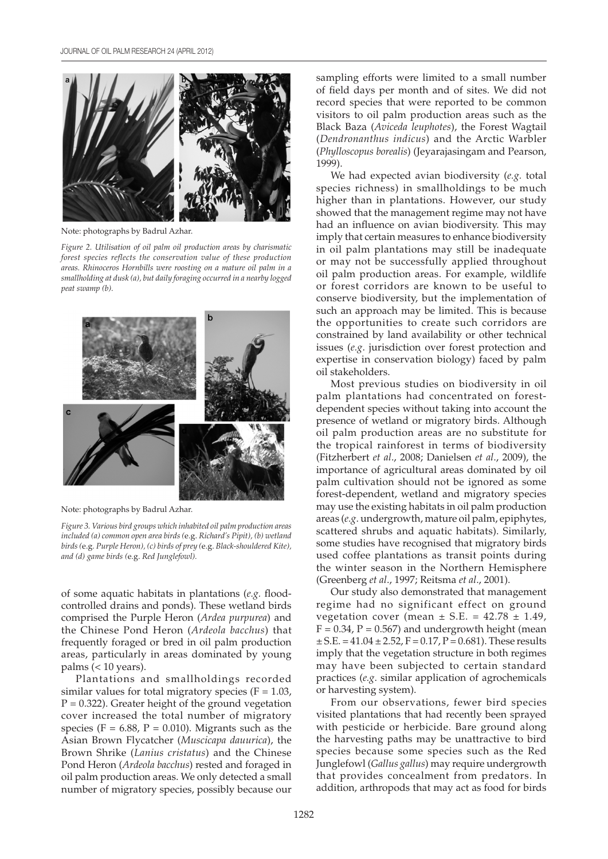

Note: photographs by Badrul Azhar.

*Figure 2. Utilisation of oil palm oil production areas by charismatic forest species reflects the conservation value of these production areas. Rhinoceros Hornbills were roosting on a mature oil palm in a smallholding at dusk (a), but daily foraging occurred in a nearby logged peat swamp (b).*



Note: photographs by Badrul Azhar.

*Figure 3. Various bird groups which inhabited oil palm production areas included (a) common open area birds (*e.g. *Richard's Pipit), (b) wetland birds (*e.g*. Purple Heron), (c) birds of prey (*e.g. *Black-shouldered Kite), and (d) game birds (*e.g. *Red Junglefowl).*

of some aquatic habitats in plantations (*e.g.* floodcontrolled drains and ponds). These wetland birds comprised the Purple Heron (*Ardea purpurea*) and the Chinese Pond Heron (*Ardeola bacchus*) that frequently foraged or bred in oil palm production areas, particularly in areas dominated by young palms  $(< 10$  years).

Plantations and smallholdings recorded similar values for total migratory species ( $F = 1.03$ ,  $P = 0.322$ ). Greater height of the ground vegetation cover increased the total number of migratory species ( $F = 6.88$ ,  $P = 0.010$ ). Migrants such as the Asian Brown Flycatcher (*Muscicapa dauurica*), the Brown Shrike (*Lanius cristatus*) and the Chinese Pond Heron (*Ardeola bacchus*) rested and foraged in oil palm production areas. We only detected a small number of migratory species, possibly because our

sampling efforts were limited to a small number of field days per month and of sites. We did not record species that were reported to be common visitors to oil palm production areas such as the Black Baza (*Aviceda leuphotes*), the Forest Wagtail (*Dendronanthus indicus*) and the Arctic Warbler (*Phylloscopus borealis*) (Jeyarajasingam and Pearson, 1999).

We had expected avian biodiversity (*e.g.* total species richness) in smallholdings to be much higher than in plantations. However, our study showed that the management regime may not have had an influence on avian biodiversity. This may imply that certain measures to enhance biodiversity in oil palm plantations may still be inadequate or may not be successfully applied throughout oil palm production areas. For example, wildlife or forest corridors are known to be useful to conserve biodiversity, but the implementation of such an approach may be limited. This is because the opportunities to create such corridors are constrained by land availability or other technical issues (*e.g*. jurisdiction over forest protection and expertise in conservation biology) faced by palm oil stakeholders.

Most previous studies on biodiversity in oil palm plantations had concentrated on forestdependent species without taking into account the presence of wetland or migratory birds. Although oil palm production areas are no substitute for the tropical rainforest in terms of biodiversity (Fitzherbert *et al*., 2008; Danielsen *et al*., 2009), the importance of agricultural areas dominated by oil palm cultivation should not be ignored as some forest-dependent, wetland and migratory species may use the existing habitats in oil palm production areas (*e.g*. undergrowth, mature oil palm, epiphytes, scattered shrubs and aquatic habitats). Similarly, some studies have recognised that migratory birds used coffee plantations as transit points during the winter season in the Northern Hemisphere (Greenberg *et al*., 1997; Reitsma *et al*., 2001).

Our study also demonstrated that management regime had no significant effect on ground vegetation cover (mean  $\pm$  S.E. = 42.78  $\pm$  1.49,  $F = 0.34$ ,  $P = 0.567$ ) and undergrowth height (mean  $\pm$  S.E. = 41.04  $\pm$  2.52, F = 0.17, P = 0.681). These results imply that the vegetation structure in both regimes may have been subjected to certain standard practices (*e.g*. similar application of agrochemicals or harvesting system).

From our observations, fewer bird species visited plantations that had recently been sprayed with pesticide or herbicide. Bare ground along the harvesting paths may be unattractive to bird species because some species such as the Red Junglefowl (*Gallus gallus*) may require undergrowth that provides concealment from predators. In addition, arthropods that may act as food for birds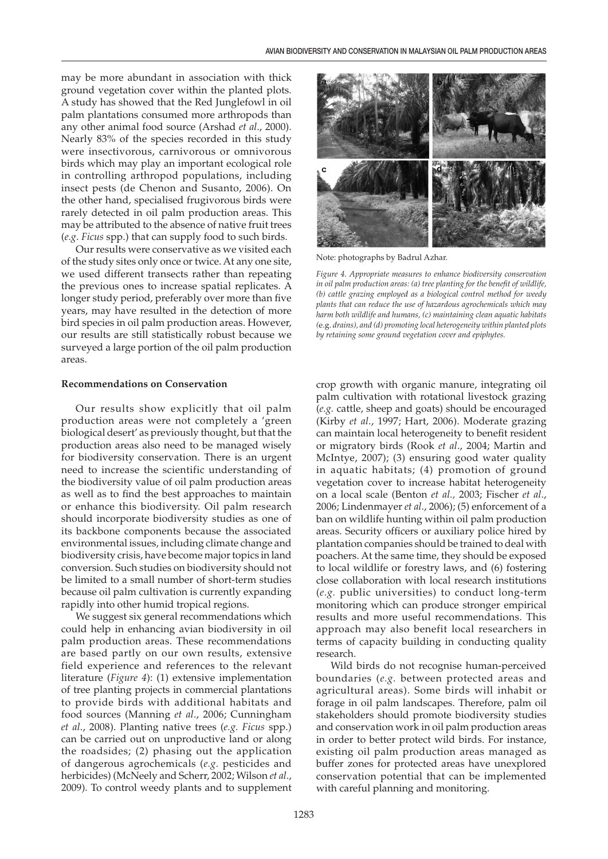may be more abundant in association with thick ground vegetation cover within the planted plots. A study has showed that the Red Junglefowl in oil palm plantations consumed more arthropods than any other animal food source (Arshad *et al*., 2000). Nearly 83% of the species recorded in this study were insectivorous, carnivorous or omnivorous birds which may play an important ecological role in controlling arthropod populations, including insect pests (de Chenon and Susanto, 2006). On the other hand, specialised frugivorous birds were rarely detected in oil palm production areas. This may be attributed to the absence of native fruit trees (*e.g*. *Ficus* spp.) that can supply food to such birds.

Our results were conservative as we visited each of the study sites only once or twice. At any one site, we used different transects rather than repeating the previous ones to increase spatial replicates. A longer study period, preferably over more than five years, may have resulted in the detection of more bird species in oil palm production areas. However, our results are still statistically robust because we surveyed a large portion of the oil palm production areas.

#### **Recommendations on Conservation**

Our results show explicitly that oil palm production areas were not completely a 'green biological desert' as previously thought, but that the production areas also need to be managed wisely for biodiversity conservation. There is an urgent need to increase the scientific understanding of the biodiversity value of oil palm production areas as well as to find the best approaches to maintain or enhance this biodiversity. Oil palm research should incorporate biodiversity studies as one of its backbone components because the associated environmental issues, including climate change and biodiversity crisis, have become major topics in land conversion. Such studies on biodiversity should not be limited to a small number of short-term studies because oil palm cultivation is currently expanding rapidly into other humid tropical regions.

We suggest six general recommendations which could help in enhancing avian biodiversity in oil palm production areas. These recommendations are based partly on our own results, extensive field experience and references to the relevant literature (*Figure 4*): (1) extensive implementation of tree planting projects in commercial plantations to provide birds with additional habitats and food sources (Manning *et al*., 2006; Cunningham *et al*., 2008). Planting native trees (*e.g. Ficus* spp.) can be carried out on unproductive land or along the roadsides; (2) phasing out the application of dangerous agrochemicals (*e.g.* pesticides and herbicides) (McNeely and Scherr, 2002; Wilson *et al*., 2009). To control weedy plants and to supplement



Note: photographs by Badrul Azhar.

*Figure 4. Appropriate measures to enhance biodiversity conservation in oil palm production areas: (a) tree planting for the benefit of wildlife, (b) cattle grazing employed as a biological control method for weedy plants that can reduce the use of hazardous agrochemicals which may harm both wildlife and humans, (c) maintaining clean aquatic habitats (*e.g. *drains), and (d) promoting local heterogeneity within planted plots by retaining some ground vegetation cover and epiphytes.*

crop growth with organic manure, integrating oil palm cultivation with rotational livestock grazing (*e.g.* cattle, sheep and goats) should be encouraged (Kirby *et al*., 1997; Hart, 2006). Moderate grazing can maintain local heterogeneity to benefit resident or migratory birds (Rook *et al*., 2004; Martin and McIntye, 2007); (3) ensuring good water quality in aquatic habitats; (4) promotion of ground vegetation cover to increase habitat heterogeneity on a local scale (Benton *et al.,* 2003; Fischer *et al*., 2006; Lindenmayer *et al*., 2006); (5) enforcement of a ban on wildlife hunting within oil palm production areas. Security officers or auxiliary police hired by plantation companies should be trained to deal with poachers. At the same time, they should be exposed to local wildlife or forestry laws, and (6) fostering close collaboration with local research institutions (*e.g.* public universities) to conduct long-term monitoring which can produce stronger empirical results and more useful recommendations. This approach may also benefit local researchers in terms of capacity building in conducting quality research.

Wild birds do not recognise human-perceived boundaries (*e.g.* between protected areas and agricultural areas). Some birds will inhabit or forage in oil palm landscapes. Therefore, palm oil stakeholders should promote biodiversity studies and conservation work in oil palm production areas in order to better protect wild birds. For instance, existing oil palm production areas managed as buffer zones for protected areas have unexplored conservation potential that can be implemented with careful planning and monitoring.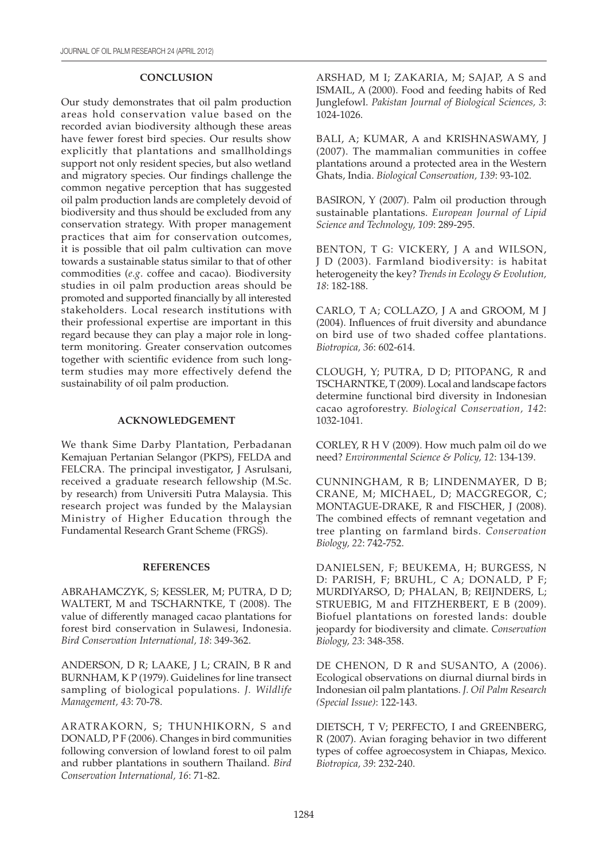# **CONCLUSION**

Our study demonstrates that oil palm production areas hold conservation value based on the recorded avian biodiversity although these areas have fewer forest bird species. Our results show explicitly that plantations and smallholdings support not only resident species, but also wetland and migratory species. Our findings challenge the common negative perception that has suggested oil palm production lands are completely devoid of biodiversity and thus should be excluded from any conservation strategy. With proper management practices that aim for conservation outcomes, it is possible that oil palm cultivation can move towards a sustainable status similar to that of other commodities (*e.g*. coffee and cacao). Biodiversity studies in oil palm production areas should be promoted and supported financially by all interested stakeholders. Local research institutions with their professional expertise are important in this regard because they can play a major role in longterm monitoring. Greater conservation outcomes together with scientific evidence from such longterm studies may more effectively defend the sustainability of oil palm production.

#### **ACKNOWLEDGEMENT**

We thank Sime Darby Plantation, Perbadanan Kemajuan Pertanian Selangor (PKPS), FELDA and FELCRA. The principal investigator, J Asrulsani, received a graduate research fellowship (M.Sc. by research) from Universiti Putra Malaysia. This research project was funded by the Malaysian Ministry of Higher Education through the Fundamental Research Grant Scheme (FRGS).

# **REFERENCES**

ABRAHAMCZYK, S; KESSLER, M; PUTRA, D D; WALTERT, M and TSCHARNTKE, T (2008). The value of differently managed cacao plantations for forest bird conservation in Sulawesi, Indonesia. *Bird Conservation International, 18*: 349-362.

ANDERSON, D R; LAAKE, J L; CRAIN, B R and BURNHAM, K P (1979). Guidelines for line transect sampling of biological populations. *J. Wildlife Management, 43*: 70-78.

ARATRAKORN, S; THUNHIKORN, S and DONALD, P F (2006). Changes in bird communities following conversion of lowland forest to oil palm and rubber plantations in southern Thailand. *Bird Conservation International, 16*: 71-82.

ARSHAD, M I; ZAKARIA, M; SAJAP, A S and ISMAIL, A (2000). Food and feeding habits of Red Junglefowl. *Pakistan Journal of Biological Sciences, 3*: 1024-1026.

BALI, A; KUMAR, A and KRISHNASWAMY, J (2007). The mammalian communities in coffee plantations around a protected area in the Western Ghats, India. *Biological Conservation, 139*: 93-102.

BASIRON, Y (2007). Palm oil production through sustainable plantations. *European Journal of Lipid Science and Technology, 109*: 289-295.

BENTON, T G: VICKERY, J A and WILSON, J D (2003). Farmland biodiversity: is habitat heterogeneity the key? *Trends in Ecology & Evolution, 18*: 182-188.

CARLO, T A; COLLAZO, J A and GROOM, M J (2004). Influences of fruit diversity and abundance on bird use of two shaded coffee plantations. *Biotropica, 36*: 602-614.

CLOUGH, Y; PUTRA, D D; PITOPANG, R and TSCHARNTKE, T (2009). Local and landscape factors determine functional bird diversity in Indonesian cacao agroforestry. *Biological Conservation, 142*: 1032-1041.

CORLEY, R H V (2009). How much palm oil do we need? *Environmental Science & Policy, 12*: 134-139.

CUNNINGHAM, R B; LINDENMAYER, D B; CRANE, M; MICHAEL, D; MACGREGOR, C; MONTAGUE-DRAKE, R and FISCHER, J (2008). The combined effects of remnant vegetation and tree planting on farmland birds. *Conservation Biology, 22*: 742-752.

DANIELSEN, F; BEUKEMA, H; BURGESS, N D: PARISH, F; BRUHL, C A; DONALD, P F; MURDIYARSO, D; PHALAN, B; REIJNDERS, L; STRUEBIG, M and FITZHERBERT, E B (2009). Biofuel plantations on forested lands: double jeopardy for biodiversity and climate. *Conservation Biology, 23*: 348-358.

DE CHENON, D R and SUSANTO, A (2006). Ecological observations on diurnal diurnal birds in Indonesian oil palm plantations. *J. Oil Palm Research (Special Issue)*: 122-143.

DIETSCH, T V; PERFECTO, I and GREENBERG, R (2007). Avian foraging behavior in two different types of coffee agroecosystem in Chiapas, Mexico. *Biotropica, 39*: 232-240.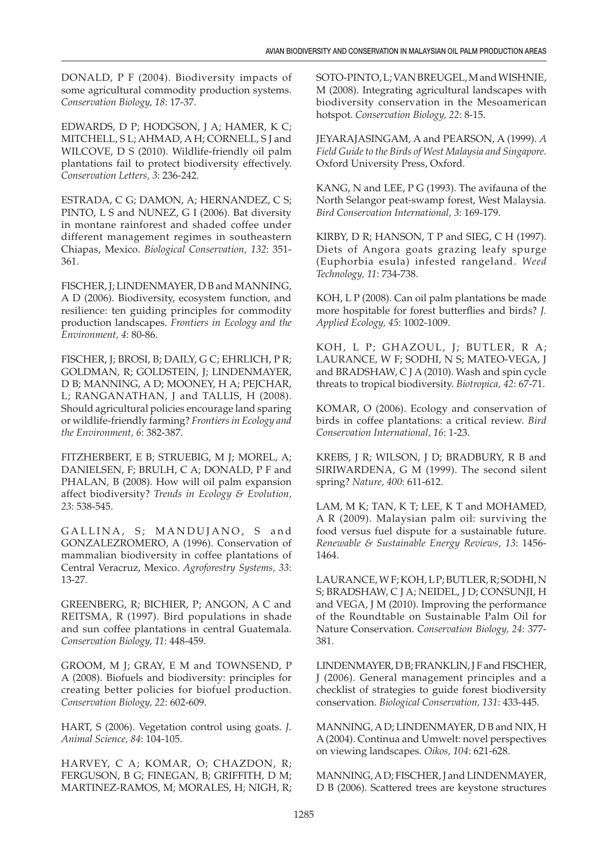DONALD, P F (2004). Biodiversity impacts of some agricultural commodity production systems. *Conservation Biology, 18*: 17-37.

EDWARDS, D P; HODGSON, J A; HAMER, K C; MITCHELL, S L; AHMAD, A H; CORNELL, S J and WILCOVE, D S (2010). Wildlife-friendly oil palm plantations fail to protect biodiversity effectively. *Conservation Letters, 3*: 236-242.

ESTRADA, C G; DAMON, A; HERNANDEZ, C S; PINTO, L S and NUNEZ, G I (2006). Bat diversity in montane rainforest and shaded coffee under different management regimes in southeastern Chiapas, Mexico. *Biological Conservation, 132*: 351- 361.

FISCHER, J; LINDENMAYER, D B and MANNING, A D (2006). Biodiversity, ecosystem function, and resilience: ten guiding principles for commodity production landscapes. *Frontiers in Ecology and the Environment, 4*: 80-86.

FISCHER, J; BROSI, B; DAILY, G C; EHRLICH, P R; GOLDMAN, R; GOLDSTEIN, J; LINDENMAYER, D B; MANNING, A D; MOONEY, H A; PEJCHAR, L; RANGANATHAN, J and TALLIS, H (2008). Should agricultural policies encourage land sparing or wildlife-friendly farming? *Frontiers in Ecology and the Environment, 6*: 382-387.

FITZHERBERT, E B; STRUEBIG, M J; MOREL, A; DANIELSEN, F; BRULH, C A; DONALD, P F and PHALAN, B (2008). How will oil palm expansion affect biodiversity? *Trends in Ecology & Evolution, 23*: 538-545.

GALLINA, S; MANDUJANO, S and GONZALEZROMERO, A (1996). Conservation of mammalian biodiversity in coffee plantations of Central Veracruz, Mexico. *Agroforestry Systems, 33*: 13-27.

GREENBERG, R; BICHIER, P; ANGON, A C and REITSMA, R (1997). Bird populations in shade and sun coffee plantations in central Guatemala. *Conservation Biology, 11*: 448-459.

GROOM, M J; GRAY, E M and TOWNSEND, P A (2008). Biofuels and biodiversity: principles for creating better policies for biofuel production. *Conservation Biology, 22*: 602-609.

HART, S (2006). Vegetation control using goats. *J. Animal Science, 84*: 104-105.

HARVEY, C A; KOMAR, O; CHAZDON, R; FERGUSON, B G; FINEGAN, B; GRIFFITH, D M; MARTINEZ-RAMOS, M; MORALES, H; NIGH, R; SOTO-PINTO, L; VAN BREUGEL, M and WISHNIE, M (2008). Integrating agricultural landscapes with biodiversity conservation in the Mesoamerican hotspot. *Conservation Biology, 22*: 8-15.

JEYARAJASINGAM, A and PEARSON, A (1999). *A Field Guide to the Birds of West Malaysia and Singapore*. Oxford University Press, Oxford.

KANG, N and LEE, P G (1993). The avifauna of the North Selangor peat-swamp forest, West Malaysia. *Bird Conservation International, 3*: 169-179.

KIRBY, D R; HANSON, T P and SIEG, C H (1997). Diets of Angora goats grazing leafy spurge (Euphorbia esula) infested rangeland. *Weed Technology, 11*: 734-738.

KOH, L P (2008). Can oil palm plantations be made more hospitable for forest butterflies and birds? *J. Applied Ecology, 45*: 1002-1009.

KOH, L P; GHAZOUL, J; BUTLER, R A; LAURANCE, W F; SODHI, N S; MATEO-VEGA, J and BRADSHAW, C J A (2010). Wash and spin cycle threats to tropical biodiversity. *Biotropica, 42*: 67-71.

KOMAR, O (2006). Ecology and conservation of birds in coffee plantations: a critical review. *Bird Conservation International, 16*: 1-23.

KREBS, J R; WILSON, J D; BRADBURY, R B and SIRIWARDENA, G M (1999). The second silent spring? *Nature, 400*: 611-612.

LAM, M K; TAN, K T; LEE, K T and MOHAMED, A R (2009). Malaysian palm oil: surviving the food versus fuel dispute for a sustainable future. *Renewable & Sustainable Energy Reviews, 13*: 1456- 1464.

LAURANCE, W F; KOH, L P; BUTLER, R; SODHI, N S; BRADSHAW, C J A; NEIDEL, J D; CONSUNJI, H and VEGA, J M (2010). Improving the performance of the Roundtable on Sustainable Palm Oil for Nature Conservation. *Conservation Biology, 24*: 377- 381.

LINDENMAYER, D B; FRANKLIN, J F and FISCHER, J (2006). General management principles and a checklist of strategies to guide forest biodiversity conservation. *Biological Conservation, 131*: 433-445.

MANNING, A D; LINDENMAYER, D B and NIX, H A (2004). Continua and Umwelt: novel perspectives on viewing landscapes. *Oikos, 104*: 621-628.

MANNING, A D; FISCHER, J and LINDENMAYER, D B (2006). Scattered trees are keystone structures